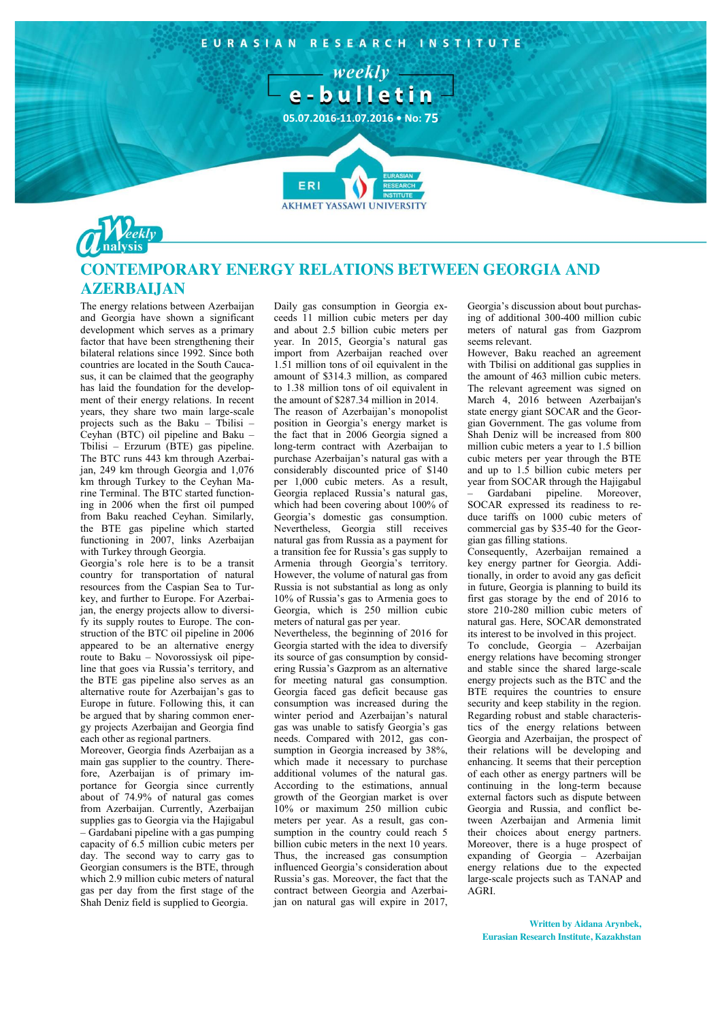

# **CONTEMPORARY ENERGY RELATIONS BETWEEN GEORGIA AND AZERBAIJAN**

The energy relations between Azerbaijan and Georgia have shown a significant development which serves as a primary factor that have been strengthening their bilateral relations since 1992. Since both countries are located in the South Caucasus, it can be claimed that the geography has laid the foundation for the development of their energy relations. In recent years, they share two main large-scale projects such as the Baku – Tbilisi – Ceyhan (BTC) oil pipeline and Baku – Tbilisi – Erzurum (BTE) gas pipeline. The BTC runs 443 km through Azerbaijan, 249 km through Georgia and 1,076 km through Turkey to the Ceyhan Marine Terminal. The BTC started functioning in 2006 when the first oil pumped from Baku reached Ceyhan. Similarly, the BTE gas pipeline which started functioning in 2007, links Azerbaijan with Turkey through Georgia.

Georgia's role here is to be a transit country for transportation of natural resources from the Caspian Sea to Turkey, and further to Europe. For Azerbaijan, the energy projects allow to diversify its supply routes to Europe. The construction of the BTC oil pipeline in 2006 appeared to be an alternative energy route to Baku – Novorossiysk oil pipeline that goes via Russia's territory, and the BTE gas pipeline also serves as an alternative route for Azerbaijan's gas to Europe in future. Following this, it can be argued that by sharing common energy projects Azerbaijan and Georgia find each other as regional partners.

Moreover, Georgia finds Azerbaijan as a main gas supplier to the country. Therefore, Azerbaijan is of primary importance for Georgia since currently about of 74.9% of natural gas comes from Azerbaijan. Currently, Azerbaijan supplies gas to Georgia via the Hajigabul – Gardabani pipeline with a gas pumping capacity of 6.5 million cubic meters per day. The second way to carry gas to Georgian consumers is the BTE, through which 2.9 million cubic meters of natural gas per day from the first stage of the Shah Deniz field is supplied to Georgia.

Daily gas consumption in Georgia exceeds 11 million cubic meters per day and about 2.5 billion cubic meters per year. In 2015, Georgia's natural gas import from Azerbaijan reached over 1.51 million tons of oil equivalent in the amount of \$314.3 million, as compared to 1.38 million tons of oil equivalent in the amount of \$287.34 million in 2014.

The reason of Azerbaijan's monopolist position in Georgia's energy market is the fact that in 2006 Georgia signed a long-term contract with Azerbaijan to purchase Azerbaijan's natural gas with a considerably discounted price of \$140 per 1,000 cubic meters. As a result, Georgia replaced Russia's natural gas, which had been covering about 100% of Georgia's domestic gas consumption. Nevertheless, Georgia still receives natural gas from Russia as a payment for a transition fee for Russia's gas supply to Armenia through Georgia's territory. However, the volume of natural gas from Russia is not substantial as long as only 10% of Russia's gas to Armenia goes to Georgia, which is 250 million cubic meters of natural gas per year.

Nevertheless, the beginning of 2016 for Georgia started with the idea to diversify its source of gas consumption by considering Russia's Gazprom as an alternative for meeting natural gas consumption. Georgia faced gas deficit because gas consumption was increased during the winter period and Azerbaijan's natural gas was unable to satisfy Georgia's gas needs. Compared with 2012, gas consumption in Georgia increased by 38%, which made it necessary to purchase additional volumes of the natural gas. According to the estimations, annual growth of the Georgian market is over 10% or maximum 250 million cubic meters per year. As a result, gas consumption in the country could reach 5 billion cubic meters in the next 10 years. Thus, the increased gas consumption influenced Georgia's consideration about Russia's gas. Moreover, the fact that the contract between Georgia and Azerbaijan on natural gas will expire in 2017,

Georgia's discussion about bout purchasing of additional 300-400 million cubic meters of natural gas from Gazprom seems relevant.

However, Baku reached an agreement with Tbilisi on additional gas supplies in the amount of 463 million cubic meters. The relevant agreement was signed on March 4, 2016 between Azerbaijan's state energy giant SOCAR and the Georgian Government. The gas volume from Shah Deniz will be increased from 800 million cubic meters a year to 1.5 billion cubic meters per year through the BTE and up to 1.5 billion cubic meters per year from SOCAR through the Hajigabul

– Gardabani pipeline. Moreover, SOCAR expressed its readiness to reduce tariffs on 1000 cubic meters of commercial gas by \$35-40 for the Georgian gas filling stations.

Consequently, Azerbaijan remained a key energy partner for Georgia. Additionally, in order to avoid any gas deficit in future, Georgia is planning to build its first gas storage by the end of 2016 to store 210-280 million cubic meters of natural gas. Here, SOCAR demonstrated its interest to be involved in this project. To conclude, Georgia – Azerbaijan energy relations have becoming stronger and stable since the shared large-scale energy projects such as the BTC and the BTE requires the countries to ensure security and keep stability in the region. Regarding robust and stable characteristics of the energy relations between Georgia and Azerbaijan, the prospect of their relations will be developing and enhancing. It seems that their perception of each other as energy partners will be continuing in the long-term because external factors such as dispute between Georgia and Russia, and conflict between Azerbaijan and Armenia limit their choices about energy partners. Moreover, there is a huge prospect of expanding of Georgia – Azerbaijan energy relations due to the expected large-scale projects such as TANAP and AGRI.